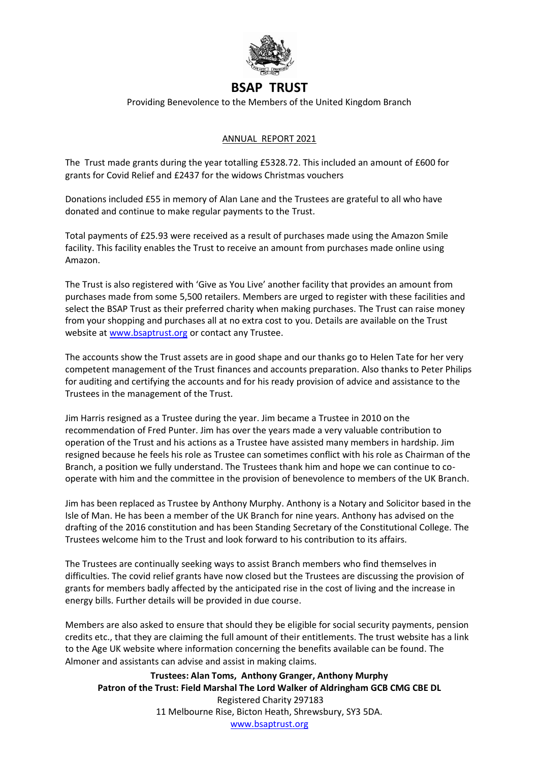

## **BSAP TRUST**

Providing Benevolence to the Members of the United Kingdom Branch

## ANNUAL REPORT 2021

The Trust made grants during the year totalling £5328.72. This included an amount of £600 for grants for Covid Relief and £2437 for the widows Christmas vouchers

Donations included £55 in memory of Alan Lane and the Trustees are grateful to all who have donated and continue to make regular payments to the Trust.

Total payments of £25.93 were received as a result of purchases made using the Amazon Smile facility. This facility enables the Trust to receive an amount from purchases made online using Amazon.

The Trust is also registered with 'Give as You Live' another facility that provides an amount from purchases made from some 5,500 retailers. Members are urged to register with these facilities and select the BSAP Trust as their preferred charity when making purchases. The Trust can raise money from your shopping and purchases all at no extra cost to you. Details are available on the Trust website at [www.bsaptrust.org o](http://www.bsaptrust.org/)r contact any Trustee.

The accounts show the Trust assets are in good shape and our thanks go to Helen Tate for her very competent management of the Trust finances and accounts preparation. Also thanks to Peter Philips for auditing and certifying the accounts and for his ready provision of advice and assistance to the Trustees in the management of the Trust.

Jim Harris resigned as a Trustee during the year. Jim became a Trustee in 2010 on the recommendation of Fred Punter. Jim has over the years made a very valuable contribution to operation of the Trust and his actions as a Trustee have assisted many members in hardship. Jim resigned because he feels his role as Trustee can sometimes conflict with his role as Chairman of the Branch, a position we fully understand. The Trustees thank him and hope we can continue to cooperate with him and the committee in the provision of benevolence to members of the UK Branch.

Jim has been replaced as Trustee by Anthony Murphy. Anthony is a Notary and Solicitor based in the Isle of Man. He has been a member of the UK Branch for nine years. Anthony has advised on the drafting of the 2016 constitution and has been Standing Secretary of the Constitutional College. The Trustees welcome him to the Trust and look forward to his contribution to its affairs.

The Trustees are continually seeking ways to assist Branch members who find themselves in difficulties. The covid relief grants have now closed but the Trustees are discussing the provision of grants for members badly affected by the anticipated rise in the cost of living and the increase in energy bills. Further details will be provided in due course.

Members are also asked to ensure that should they be eligible for social security payments, pension credits etc., that they are claiming the full amount of their entitlements. The trust website has a link to the Age UK website where information concerning the benefits available can be found. The Almoner and assistants can advise and assist in making claims.

**Trustees: Alan Toms, Anthony Granger, Anthony Murphy Patron of the Trust: Field Marshal The Lord Walker of Aldringham GCB CMG CBE DL**  Registered Charity 297183 11 Melbourne Rise, Bicton Heath, Shrewsbury, SY3 5DA. [www.bsaptrust.org](http://www.bsaptrust.org/)